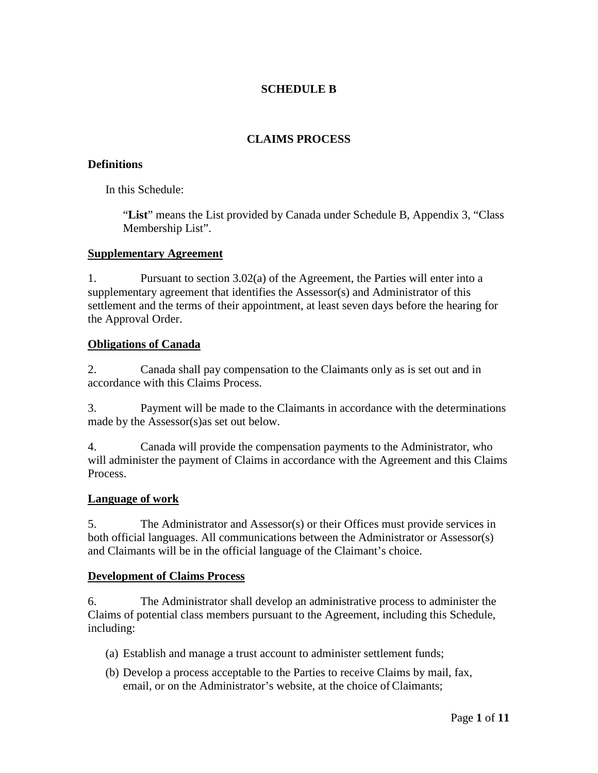## **SCHEDULE B**

## **CLAIMS PROCESS**

#### **Definitions**

In this Schedule:

"**List**" means the List provided by Canada under Schedule B, Appendix 3, "Class Membership List".

#### **Supplementary Agreement**

1. Pursuant to section 3.02(a) of the Agreement, the Parties will enter into a supplementary agreement that identifies the Assessor(s) and Administrator of this settlement and the terms of their appointment, at least seven days before the hearing for the Approval Order.

### **Obligations of Canada**

2. Canada shall pay compensation to the Claimants only as is set out and in accordance with this Claims Process.

3. Payment will be made to the Claimants in accordance with the determinations made by the Assessor(s)as set out below.

4. Canada will provide the compensation payments to the Administrator, who will administer the payment of Claims in accordance with the Agreement and this Claims Process.

### **Language of work**

5. The Administrator and Assessor(s) or their Offices must provide services in both official languages. All communications between the Administrator or Assessor(s) and Claimants will be in the official language of the Claimant's choice.

### **Development of Claims Process**

6. The Administrator shall develop an administrative process to administer the Claims of potential class members pursuant to the Agreement, including this Schedule, including:

- (a) Establish and manage a trust account to administer settlement funds;
- (b) Develop a process acceptable to the Parties to receive Claims by mail, fax, email, or on the Administrator's website, at the choice of Claimants;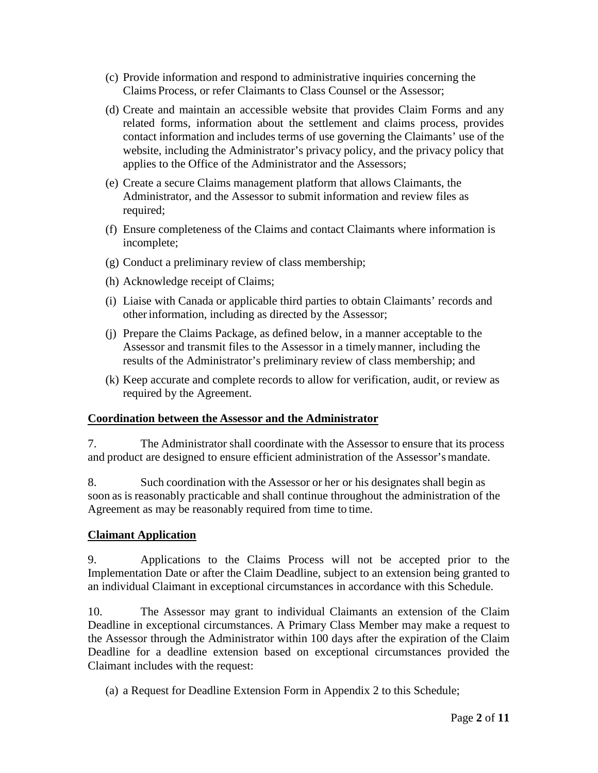- (c) Provide information and respond to administrative inquiries concerning the Claims Process, or refer Claimants to Class Counsel or the Assessor;
- (d) Create and maintain an accessible website that provides Claim Forms and any related forms, information about the settlement and claims process, provides contact information and includes terms of use governing the Claimants' use of the website, including the Administrator's privacy policy, and the privacy policy that applies to the Office of the Administrator and the Assessors;
- (e) Create a secure Claims management platform that allows Claimants, the Administrator, and the Assessor to submit information and review files as required;
- (f) Ensure completeness of the Claims and contact Claimants where information is incomplete;
- (g) Conduct a preliminary review of class membership;
- (h) Acknowledge receipt of Claims;
- (i) Liaise with Canada or applicable third parties to obtain Claimants' records and otherinformation, including as directed by the Assessor;
- (j) Prepare the Claims Package, as defined below, in a manner acceptable to the Assessor and transmit files to the Assessor in a timelymanner, including the results of the Administrator's preliminary review of class membership; and
- (k) Keep accurate and complete records to allow for verification, audit, or review as required by the Agreement.

#### **Coordination between the Assessor and the Administrator**

7. The Administrator shall coordinate with the Assessor to ensure that its process and product are designed to ensure efficient administration of the Assessor'smandate.

8. Such coordination with the Assessor or her or his designates shall begin as soon as is reasonably practicable and shall continue throughout the administration of the Agreement as may be reasonably required from time to time.

### **Claimant Application**

9. Applications to the Claims Process will not be accepted prior to the Implementation Date or after the Claim Deadline, subject to an extension being granted to an individual Claimant in exceptional circumstances in accordance with this Schedule.

10. The Assessor may grant to individual Claimants an extension of the Claim Deadline in exceptional circumstances. A Primary Class Member may make a request to the Assessor through the Administrator within 100 days after the expiration of the Claim Deadline for a deadline extension based on exceptional circumstances provided the Claimant includes with the request:

(a) a Request for Deadline Extension Form in Appendix 2 to this Schedule;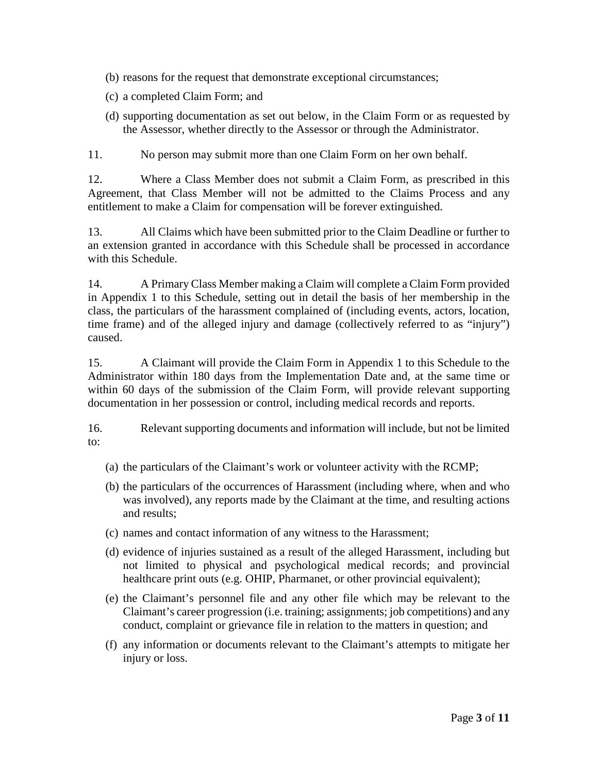- (b) reasons for the request that demonstrate exceptional circumstances;
- (c) a completed Claim Form; and
- (d) supporting documentation as set out below, in the Claim Form or as requested by the Assessor, whether directly to the Assessor or through the Administrator.

11. No person may submit more than one Claim Form on her own behalf.

12. Where a Class Member does not submit a Claim Form, as prescribed in this Agreement, that Class Member will not be admitted to the Claims Process and any entitlement to make a Claim for compensation will be forever extinguished.

13. All Claims which have been submitted prior to the Claim Deadline or further to an extension granted in accordance with this Schedule shall be processed in accordance with this Schedule.

14. A Primary Class Member making a Claim will complete a Claim Form provided in Appendix 1 to this Schedule, setting out in detail the basis of her membership in the class, the particulars of the harassment complained of (including events, actors, location, time frame) and of the alleged injury and damage (collectively referred to as "injury") caused.

15. A Claimant will provide the Claim Form in Appendix 1 to this Schedule to the Administrator within 180 days from the Implementation Date and, at the same time or within 60 days of the submission of the Claim Form, will provide relevant supporting documentation in her possession or control, including medical records and reports.

16. Relevant supporting documents and information will include, but not be limited to:

- (a) the particulars of the Claimant's work or volunteer activity with the RCMP;
- (b) the particulars of the occurrences of Harassment (including where, when and who was involved), any reports made by the Claimant at the time, and resulting actions and results;
- (c) names and contact information of any witness to the Harassment;
- (d) evidence of injuries sustained as a result of the alleged Harassment, including but not limited to physical and psychological medical records; and provincial healthcare print outs (e.g. OHIP, Pharmanet, or other provincial equivalent);
- (e) the Claimant's personnel file and any other file which may be relevant to the Claimant's career progression (i.e. training; assignments; job competitions) and any conduct, complaint or grievance file in relation to the matters in question; and
- (f) any information or documents relevant to the Claimant's attempts to mitigate her injury or loss.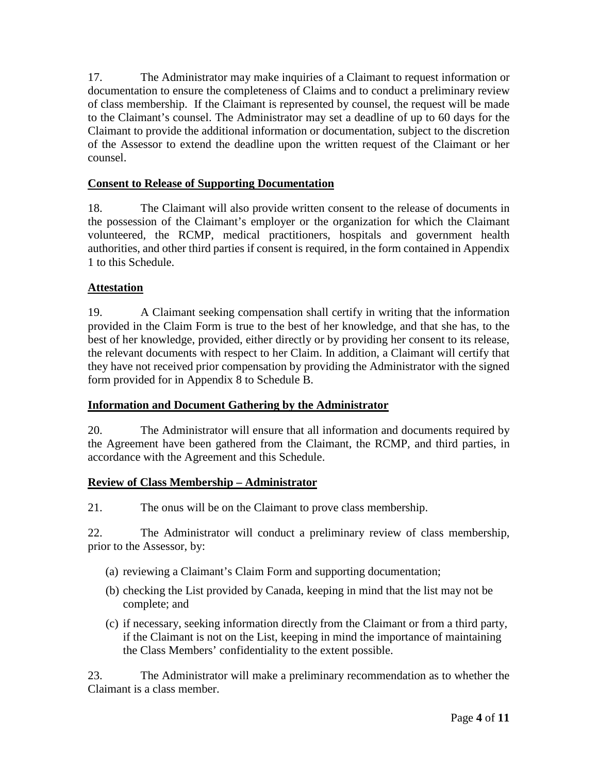17. The Administrator may make inquiries of a Claimant to request information or documentation to ensure the completeness of Claims and to conduct a preliminary review of class membership. If the Claimant is represented by counsel, the request will be made to the Claimant's counsel. The Administrator may set a deadline of up to 60 days for the Claimant to provide the additional information or documentation, subject to the discretion of the Assessor to extend the deadline upon the written request of the Claimant or her counsel.

## **Consent to Release of Supporting Documentation**

18. The Claimant will also provide written consent to the release of documents in the possession of the Claimant's employer or the organization for which the Claimant volunteered, the RCMP, medical practitioners, hospitals and government health authorities, and other third parties if consent is required, in the form contained in Appendix 1 to this Schedule.

## **Attestation**

19. A Claimant seeking compensation shall certify in writing that the information provided in the Claim Form is true to the best of her knowledge, and that she has, to the best of her knowledge, provided, either directly or by providing her consent to its release, the relevant documents with respect to her Claim. In addition, a Claimant will certify that they have not received prior compensation by providing the Administrator with the signed form provided for in Appendix 8 to Schedule B.

### **Information and Document Gathering by the Administrator**

20. The Administrator will ensure that all information and documents required by the Agreement have been gathered from the Claimant, the RCMP, and third parties, in accordance with the Agreement and this Schedule.

### **Review of Class Membership – Administrator**

21. The onus will be on the Claimant to prove class membership.

22. The Administrator will conduct a preliminary review of class membership, prior to the Assessor, by:

- (a) reviewing a Claimant's Claim Form and supporting documentation;
- (b) checking the List provided by Canada, keeping in mind that the list may not be complete; and
- (c) if necessary, seeking information directly from the Claimant or from a third party, if the Claimant is not on the List, keeping in mind the importance of maintaining the Class Members' confidentiality to the extent possible.

23. The Administrator will make a preliminary recommendation as to whether the Claimant is a class member.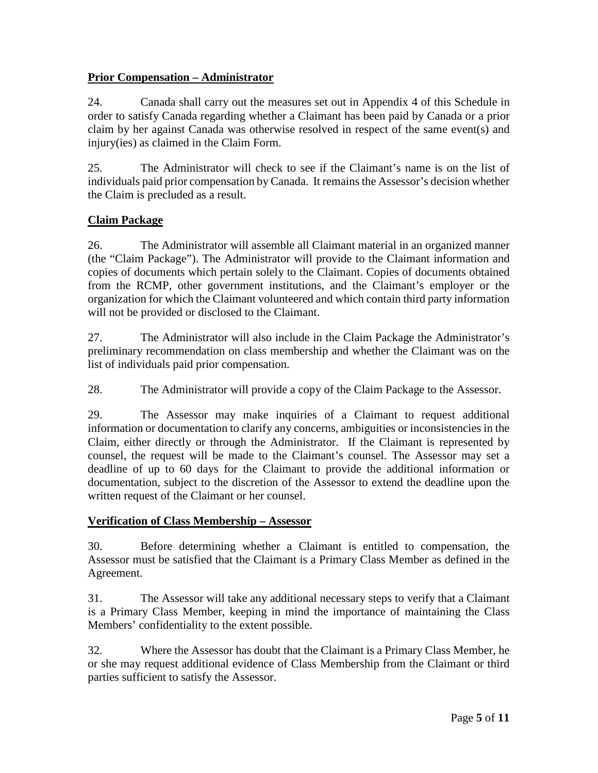## **Prior Compensation – Administrator**

24. Canada shall carry out the measures set out in Appendix 4 of this Schedule in order to satisfy Canada regarding whether a Claimant has been paid by Canada or a prior claim by her against Canada was otherwise resolved in respect of the same event(s) and injury(ies) as claimed in the Claim Form.

25. The Administrator will check to see if the Claimant's name is on the list of individuals paid prior compensation by Canada. It remains the Assessor's decision whether the Claim is precluded as a result.

# **Claim Package**

26. The Administrator will assemble all Claimant material in an organized manner (the "Claim Package"). The Administrator will provide to the Claimant information and copies of documents which pertain solely to the Claimant. Copies of documents obtained from the RCMP, other government institutions, and the Claimant's employer or the organization for which the Claimant volunteered and which contain third party information will not be provided or disclosed to the Claimant.

27. The Administrator will also include in the Claim Package the Administrator's preliminary recommendation on class membership and whether the Claimant was on the list of individuals paid prior compensation.

28. The Administrator will provide a copy of the Claim Package to the Assessor.

29. The Assessor may make inquiries of a Claimant to request additional information or documentation to clarify any concerns, ambiguities or inconsistencies in the Claim, either directly or through the Administrator. If the Claimant is represented by counsel, the request will be made to the Claimant's counsel. The Assessor may set a deadline of up to 60 days for the Claimant to provide the additional information or documentation, subject to the discretion of the Assessor to extend the deadline upon the written request of the Claimant or her counsel.

### **Verification of Class Membership – Assessor**

30. Before determining whether a Claimant is entitled to compensation, the Assessor must be satisfied that the Claimant is a Primary Class Member as defined in the Agreement.

31. The Assessor will take any additional necessary steps to verify that a Claimant is a Primary Class Member, keeping in mind the importance of maintaining the Class Members' confidentiality to the extent possible.

32. Where the Assessor has doubt that the Claimant is a Primary Class Member, he or she may request additional evidence of Class Membership from the Claimant or third parties sufficient to satisfy the Assessor.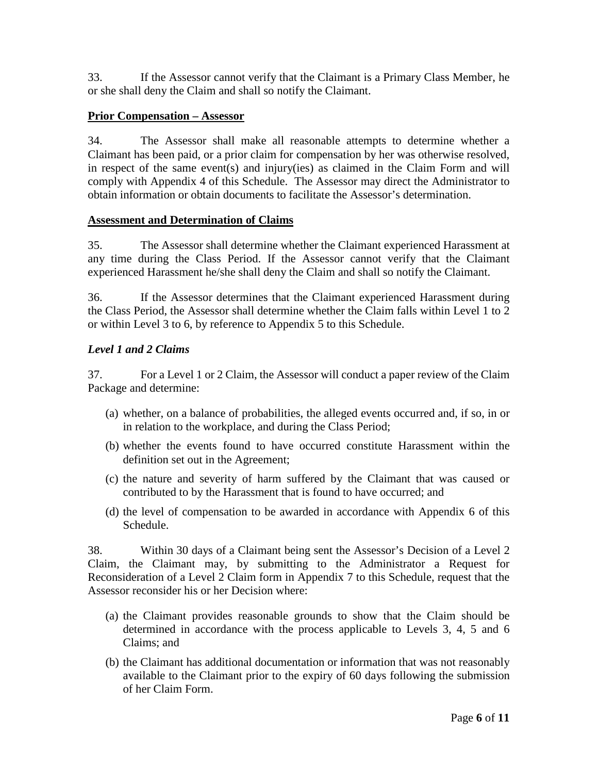33. If the Assessor cannot verify that the Claimant is a Primary Class Member, he or she shall deny the Claim and shall so notify the Claimant.

### **Prior Compensation – Assessor**

34. The Assessor shall make all reasonable attempts to determine whether a Claimant has been paid, or a prior claim for compensation by her was otherwise resolved, in respect of the same event(s) and injury(ies) as claimed in the Claim Form and will comply with Appendix 4 of this Schedule. The Assessor may direct the Administrator to obtain information or obtain documents to facilitate the Assessor's determination.

### **Assessment and Determination of Claims**

35. The Assessor shall determine whether the Claimant experienced Harassment at any time during the Class Period. If the Assessor cannot verify that the Claimant experienced Harassment he/she shall deny the Claim and shall so notify the Claimant.

36. If the Assessor determines that the Claimant experienced Harassment during the Class Period, the Assessor shall determine whether the Claim falls within Level 1 to 2 or within Level 3 to 6, by reference to Appendix 5 to this Schedule.

## *Level 1 and 2 Claims*

37. For a Level 1 or 2 Claim, the Assessor will conduct a paper review of the Claim Package and determine:

- (a) whether, on a balance of probabilities, the alleged events occurred and, if so, in or in relation to the workplace, and during the Class Period;
- (b) whether the events found to have occurred constitute Harassment within the definition set out in the Agreement;
- (c) the nature and severity of harm suffered by the Claimant that was caused or contributed to by the Harassment that is found to have occurred; and
- (d) the level of compensation to be awarded in accordance with Appendix 6 of this Schedule.

38. Within 30 days of a Claimant being sent the Assessor's Decision of a Level 2 Claim, the Claimant may, by submitting to the Administrator a Request for Reconsideration of a Level 2 Claim form in Appendix 7 to this Schedule, request that the Assessor reconsider his or her Decision where:

- (a) the Claimant provides reasonable grounds to show that the Claim should be determined in accordance with the process applicable to Levels 3, 4, 5 and 6 Claims; and
- (b) the Claimant has additional documentation or information that was not reasonably available to the Claimant prior to the expiry of 60 days following the submission of her Claim Form.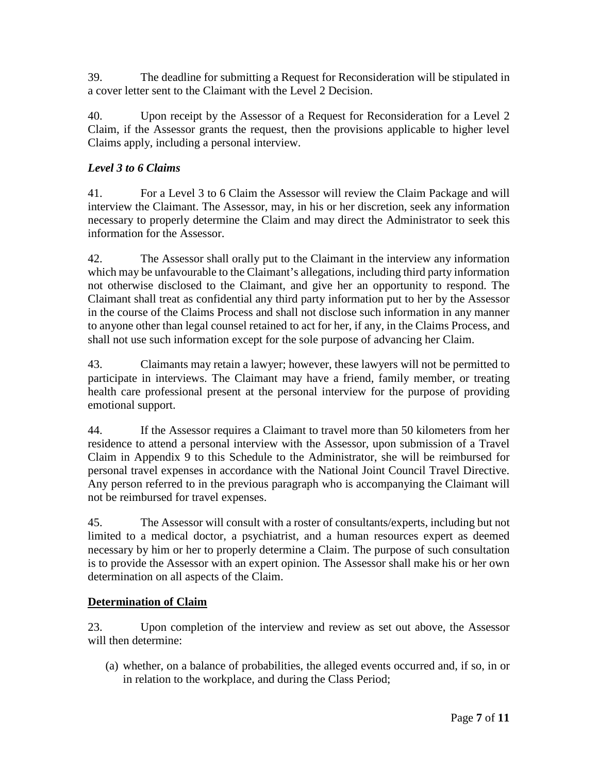39. The deadline for submitting a Request for Reconsideration will be stipulated in a cover letter sent to the Claimant with the Level 2 Decision.

40. Upon receipt by the Assessor of a Request for Reconsideration for a Level 2 Claim, if the Assessor grants the request, then the provisions applicable to higher level Claims apply, including a personal interview.

# *Level 3 to 6 Claims*

41. For a Level 3 to 6 Claim the Assessor will review the Claim Package and will interview the Claimant. The Assessor, may, in his or her discretion, seek any information necessary to properly determine the Claim and may direct the Administrator to seek this information for the Assessor.

42. The Assessor shall orally put to the Claimant in the interview any information which may be unfavourable to the Claimant's allegations, including third party information not otherwise disclosed to the Claimant, and give her an opportunity to respond. The Claimant shall treat as confidential any third party information put to her by the Assessor in the course of the Claims Process and shall not disclose such information in any manner to anyone other than legal counsel retained to act for her, if any, in the Claims Process, and shall not use such information except for the sole purpose of advancing her Claim.

43. Claimants may retain a lawyer; however, these lawyers will not be permitted to participate in interviews. The Claimant may have a friend, family member, or treating health care professional present at the personal interview for the purpose of providing emotional support.

44. If the Assessor requires a Claimant to travel more than 50 kilometers from her residence to attend a personal interview with the Assessor, upon submission of a Travel Claim in Appendix 9 to this Schedule to the Administrator, she will be reimbursed for personal travel expenses in accordance with the National Joint Council Travel Directive. Any person referred to in the previous paragraph who is accompanying the Claimant will not be reimbursed for travel expenses.

45. The Assessor will consult with a roster of consultants/experts, including but not limited to a medical doctor, a psychiatrist, and a human resources expert as deemed necessary by him or her to properly determine a Claim. The purpose of such consultation is to provide the Assessor with an expert opinion. The Assessor shall make his or her own determination on all aspects of the Claim.

# **Determination of Claim**

23. Upon completion of the interview and review as set out above, the Assessor will then determine:

(a) whether, on a balance of probabilities, the alleged events occurred and, if so, in or in relation to the workplace, and during the Class Period;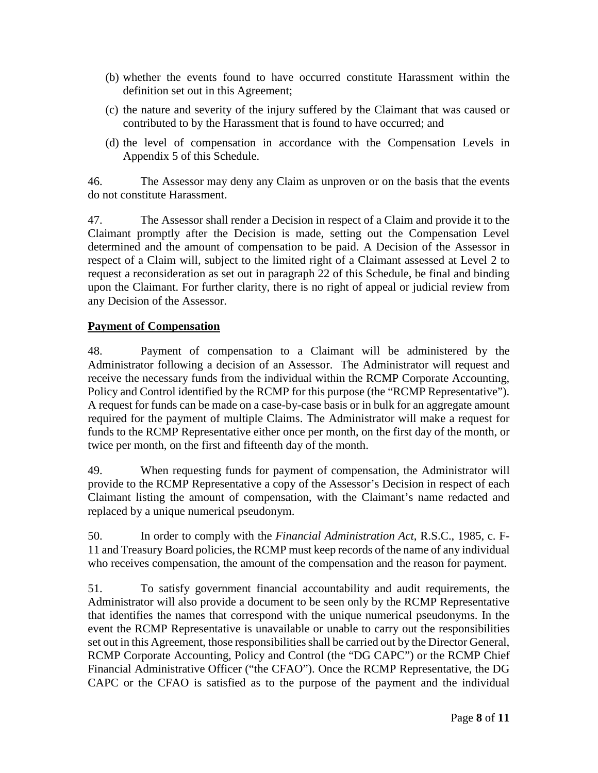- (b) whether the events found to have occurred constitute Harassment within the definition set out in this Agreement;
- (c) the nature and severity of the injury suffered by the Claimant that was caused or contributed to by the Harassment that is found to have occurred; and
- (d) the level of compensation in accordance with the Compensation Levels in Appendix 5 of this Schedule.

46. The Assessor may deny any Claim as unproven or on the basis that the events do not constitute Harassment.

47. The Assessor shall render a Decision in respect of a Claim and provide it to the Claimant promptly after the Decision is made, setting out the Compensation Level determined and the amount of compensation to be paid. A Decision of the Assessor in respect of a Claim will, subject to the limited right of a Claimant assessed at Level 2 to request a reconsideration as set out in paragraph 22 of this Schedule, be final and binding upon the Claimant. For further clarity, there is no right of appeal or judicial review from any Decision of the Assessor.

## **Payment of Compensation**

48. Payment of compensation to a Claimant will be administered by the Administrator following a decision of an Assessor. The Administrator will request and receive the necessary funds from the individual within the RCMP Corporate Accounting, Policy and Control identified by the RCMP for this purpose (the "RCMP Representative"). A request for funds can be made on a case-by-case basis or in bulk for an aggregate amount required for the payment of multiple Claims. The Administrator will make a request for funds to the RCMP Representative either once per month, on the first day of the month, or twice per month, on the first and fifteenth day of the month.

49. When requesting funds for payment of compensation, the Administrator will provide to the RCMP Representative a copy of the Assessor's Decision in respect of each Claimant listing the amount of compensation, with the Claimant's name redacted and replaced by a unique numerical pseudonym.

50. In order to comply with the *Financial Administration Act*, R.S.C., 1985, c. F-11 and Treasury Board policies, the RCMP must keep records of the name of any individual who receives compensation, the amount of the compensation and the reason for payment.

51. To satisfy government financial accountability and audit requirements, the Administrator will also provide a document to be seen only by the RCMP Representative that identifies the names that correspond with the unique numerical pseudonyms. In the event the RCMP Representative is unavailable or unable to carry out the responsibilities set out in this Agreement, those responsibilities shall be carried out by the Director General, RCMP Corporate Accounting, Policy and Control (the "DG CAPC") or the RCMP Chief Financial Administrative Officer ("the CFAO"). Once the RCMP Representative, the DG CAPC or the CFAO is satisfied as to the purpose of the payment and the individual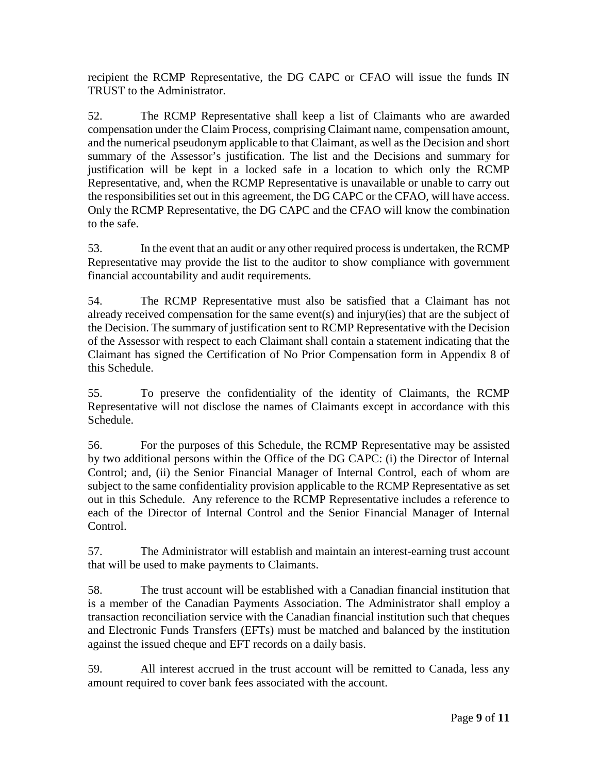recipient the RCMP Representative, the DG CAPC or CFAO will issue the funds IN TRUST to the Administrator.

52. The RCMP Representative shall keep a list of Claimants who are awarded compensation under the Claim Process, comprising Claimant name, compensation amount, and the numerical pseudonym applicable to that Claimant, as well as the Decision and short summary of the Assessor's justification. The list and the Decisions and summary for justification will be kept in a locked safe in a location to which only the RCMP Representative, and, when the RCMP Representative is unavailable or unable to carry out the responsibilities set out in this agreement, the DG CAPC or the CFAO, will have access. Only the RCMP Representative, the DG CAPC and the CFAO will know the combination to the safe.

53. In the event that an audit or any other required process is undertaken, the RCMP Representative may provide the list to the auditor to show compliance with government financial accountability and audit requirements.

54. The RCMP Representative must also be satisfied that a Claimant has not already received compensation for the same event(s) and injury(ies) that are the subject of the Decision. The summary of justification sent to RCMP Representative with the Decision of the Assessor with respect to each Claimant shall contain a statement indicating that the Claimant has signed the Certification of No Prior Compensation form in Appendix 8 of this Schedule.

55. To preserve the confidentiality of the identity of Claimants, the RCMP Representative will not disclose the names of Claimants except in accordance with this Schedule.

56. For the purposes of this Schedule, the RCMP Representative may be assisted by two additional persons within the Office of the DG CAPC: (i) the Director of Internal Control; and, (ii) the Senior Financial Manager of Internal Control, each of whom are subject to the same confidentiality provision applicable to the RCMP Representative as set out in this Schedule. Any reference to the RCMP Representative includes a reference to each of the Director of Internal Control and the Senior Financial Manager of Internal Control.

57. The Administrator will establish and maintain an interest-earning trust account that will be used to make payments to Claimants.

58. The trust account will be established with a Canadian financial institution that is a member of the Canadian Payments Association. The Administrator shall employ a transaction reconciliation service with the Canadian financial institution such that cheques and Electronic Funds Transfers (EFTs) must be matched and balanced by the institution against the issued cheque and EFT records on a daily basis.

59. All interest accrued in the trust account will be remitted to Canada, less any amount required to cover bank fees associated with the account.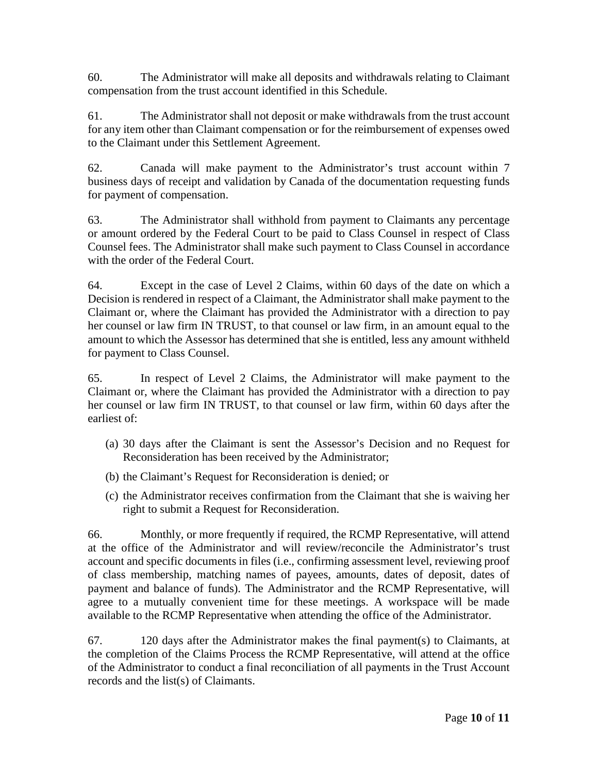60. The Administrator will make all deposits and withdrawals relating to Claimant compensation from the trust account identified in this Schedule.

61. The Administrator shall not deposit or make withdrawals from the trust account for any item other than Claimant compensation or for the reimbursement of expenses owed to the Claimant under this Settlement Agreement.

62. Canada will make payment to the Administrator's trust account within 7 business days of receipt and validation by Canada of the documentation requesting funds for payment of compensation.

63. The Administrator shall withhold from payment to Claimants any percentage or amount ordered by the Federal Court to be paid to Class Counsel in respect of Class Counsel fees. The Administrator shall make such payment to Class Counsel in accordance with the order of the Federal Court.

64. Except in the case of Level 2 Claims, within 60 days of the date on which a Decision is rendered in respect of a Claimant, the Administrator shall make payment to the Claimant or, where the Claimant has provided the Administrator with a direction to pay her counsel or law firm IN TRUST, to that counsel or law firm, in an amount equal to the amount to which the Assessor has determined that she is entitled, less any amount withheld for payment to Class Counsel.

65. In respect of Level 2 Claims, the Administrator will make payment to the Claimant or, where the Claimant has provided the Administrator with a direction to pay her counsel or law firm IN TRUST, to that counsel or law firm, within 60 days after the earliest of:

- (a) 30 days after the Claimant is sent the Assessor's Decision and no Request for Reconsideration has been received by the Administrator;
- (b) the Claimant's Request for Reconsideration is denied; or
- (c) the Administrator receives confirmation from the Claimant that she is waiving her right to submit a Request for Reconsideration.

66. Monthly, or more frequently if required, the RCMP Representative, will attend at the office of the Administrator and will review/reconcile the Administrator's trust account and specific documents in files (i.e., confirming assessment level, reviewing proof of class membership, matching names of payees, amounts, dates of deposit, dates of payment and balance of funds). The Administrator and the RCMP Representative, will agree to a mutually convenient time for these meetings. A workspace will be made available to the RCMP Representative when attending the office of the Administrator.

67. 120 days after the Administrator makes the final payment(s) to Claimants, at the completion of the Claims Process the RCMP Representative, will attend at the office of the Administrator to conduct a final reconciliation of all payments in the Trust Account records and the list(s) of Claimants.